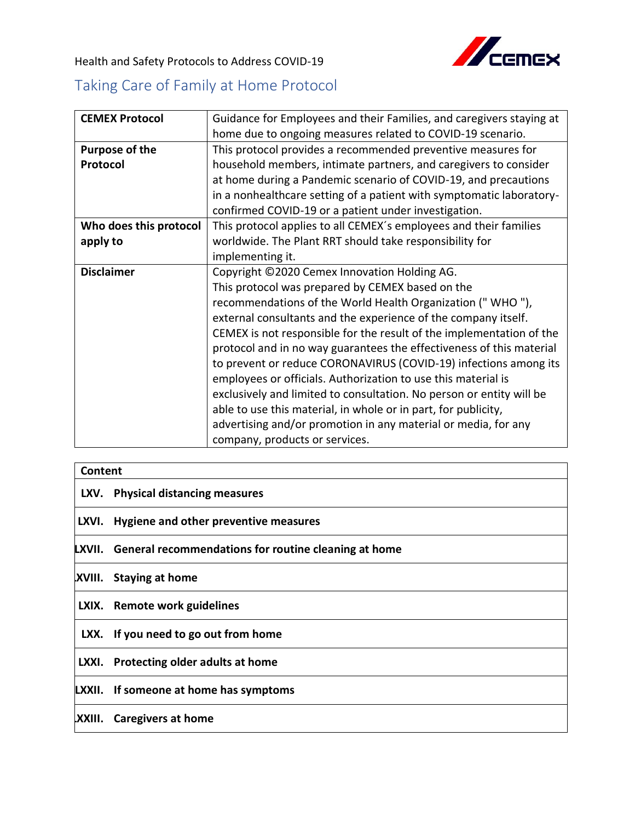

Health and Safety Protocols to Address COVID-19

## Taking Care of Family at Home Protocol

| <b>CEMEX Protocol</b>  | Guidance for Employees and their Families, and caregivers staying at |
|------------------------|----------------------------------------------------------------------|
|                        |                                                                      |
|                        | home due to ongoing measures related to COVID-19 scenario.           |
| Purpose of the         | This protocol provides a recommended preventive measures for         |
| Protocol               | household members, intimate partners, and caregivers to consider     |
|                        | at home during a Pandemic scenario of COVID-19, and precautions      |
|                        | in a nonhealthcare setting of a patient with symptomatic laboratory- |
|                        | confirmed COVID-19 or a patient under investigation.                 |
| Who does this protocol | This protocol applies to all CEMEX's employees and their families    |
| apply to               | worldwide. The Plant RRT should take responsibility for              |
|                        | implementing it.                                                     |
| <b>Disclaimer</b>      | Copyright ©2020 Cemex Innovation Holding AG.                         |
|                        | This protocol was prepared by CEMEX based on the                     |
|                        | recommendations of the World Health Organization ("WHO"),            |
|                        | external consultants and the experience of the company itself.       |
|                        | CEMEX is not responsible for the result of the implementation of the |
|                        | protocol and in no way guarantees the effectiveness of this material |
|                        | to prevent or reduce CORONAVIRUS (COVID-19) infections among its     |
|                        | employees or officials. Authorization to use this material is        |
|                        | exclusively and limited to consultation. No person or entity will be |
|                        | able to use this material, in whole or in part, for publicity,       |
|                        | advertising and/or promotion in any material or media, for any       |
|                        | company, products or services.                                       |

| Content |                                                             |
|---------|-------------------------------------------------------------|
|         | LXV. Physical distancing measures                           |
| LXVI.   | Hygiene and other preventive measures                       |
|         | LXVII. General recommendations for routine cleaning at home |
|         | XVIII. Staying at home                                      |
|         | LXIX. Remote work guidelines                                |
|         | LXX. If you need to go out from home                        |
|         | LXXI. Protecting older adults at home                       |
|         | <b>LXXII.</b> If someone at home has symptoms               |
| XXIII.  | Caregivers at home                                          |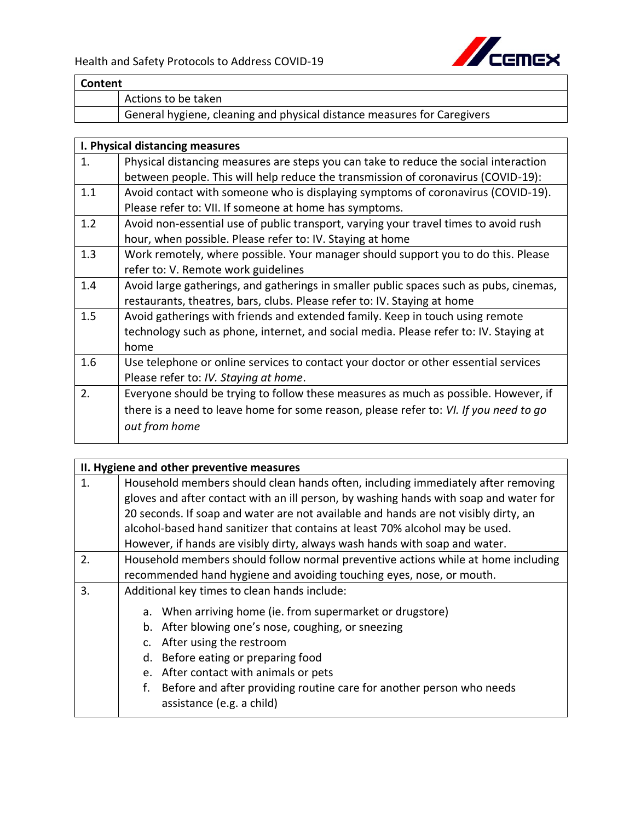

| Content |                                                                         |
|---------|-------------------------------------------------------------------------|
|         | Actions to be taken                                                     |
|         | General hygiene, cleaning and physical distance measures for Caregivers |

|     | I. Physical distancing measures                                                        |
|-----|----------------------------------------------------------------------------------------|
| 1.  | Physical distancing measures are steps you can take to reduce the social interaction   |
|     | between people. This will help reduce the transmission of coronavirus (COVID-19):      |
| 1.1 | Avoid contact with someone who is displaying symptoms of coronavirus (COVID-19).       |
|     | Please refer to: VII. If someone at home has symptoms.                                 |
| 1.2 | Avoid non-essential use of public transport, varying your travel times to avoid rush   |
|     | hour, when possible. Please refer to: IV. Staying at home                              |
| 1.3 | Work remotely, where possible. Your manager should support you to do this. Please      |
|     | refer to: V. Remote work guidelines                                                    |
| 1.4 | Avoid large gatherings, and gatherings in smaller public spaces such as pubs, cinemas, |
|     | restaurants, theatres, bars, clubs. Please refer to: IV. Staying at home               |
| 1.5 | Avoid gatherings with friends and extended family. Keep in touch using remote          |
|     | technology such as phone, internet, and social media. Please refer to: IV. Staying at  |
|     | home                                                                                   |
| 1.6 | Use telephone or online services to contact your doctor or other essential services    |
|     | Please refer to: IV. Staying at home.                                                  |
| 2.  | Everyone should be trying to follow these measures as much as possible. However, if    |
|     | there is a need to leave home for some reason, please refer to: VI. If you need to go  |
|     | out from home                                                                          |
|     |                                                                                        |

|                | II. Hygiene and other preventive measures                                             |  |
|----------------|---------------------------------------------------------------------------------------|--|
| $\mathbf{1}$ . | Household members should clean hands often, including immediately after removing      |  |
|                | gloves and after contact with an ill person, by washing hands with soap and water for |  |
|                | 20 seconds. If soap and water are not available and hands are not visibly dirty, an   |  |
|                | alcohol-based hand sanitizer that contains at least 70% alcohol may be used.          |  |
|                | However, if hands are visibly dirty, always wash hands with soap and water.           |  |
| 2.             | Household members should follow normal preventive actions while at home including     |  |
|                | recommended hand hygiene and avoiding touching eyes, nose, or mouth.                  |  |
| 3.             | Additional key times to clean hands include:                                          |  |
|                | a. When arriving home (ie. from supermarket or drugstore)                             |  |
|                | b. After blowing one's nose, coughing, or sneezing                                    |  |
|                | c. After using the restroom                                                           |  |
|                | Before eating or preparing food<br>d.                                                 |  |
|                | e. After contact with animals or pets                                                 |  |
|                | Before and after providing routine care for another person who needs<br>f.            |  |
|                | assistance (e.g. a child)                                                             |  |
|                |                                                                                       |  |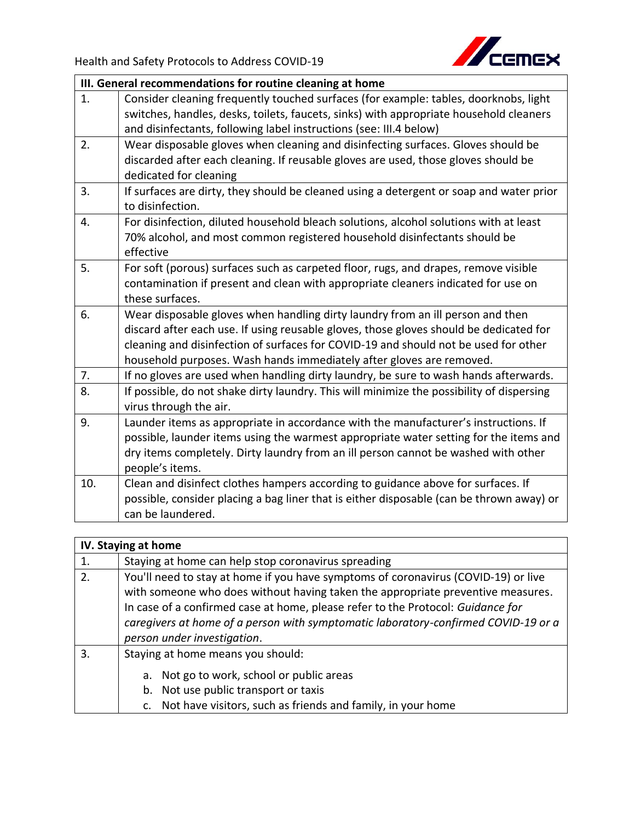

|     | III. General recommendations for routine cleaning at home                                                   |  |
|-----|-------------------------------------------------------------------------------------------------------------|--|
| 1.  | Consider cleaning frequently touched surfaces (for example: tables, doorknobs, light                        |  |
|     | switches, handles, desks, toilets, faucets, sinks) with appropriate household cleaners                      |  |
|     | and disinfectants, following label instructions (see: III.4 below)                                          |  |
| 2.  | Wear disposable gloves when cleaning and disinfecting surfaces. Gloves should be                            |  |
|     | discarded after each cleaning. If reusable gloves are used, those gloves should be                          |  |
|     | dedicated for cleaning                                                                                      |  |
| 3.  | If surfaces are dirty, they should be cleaned using a detergent or soap and water prior<br>to disinfection. |  |
| 4.  | For disinfection, diluted household bleach solutions, alcohol solutions with at least                       |  |
|     | 70% alcohol, and most common registered household disinfectants should be                                   |  |
|     | effective                                                                                                   |  |
| 5.  | For soft (porous) surfaces such as carpeted floor, rugs, and drapes, remove visible                         |  |
|     | contamination if present and clean with appropriate cleaners indicated for use on                           |  |
|     | these surfaces.                                                                                             |  |
| 6.  | Wear disposable gloves when handling dirty laundry from an ill person and then                              |  |
|     | discard after each use. If using reusable gloves, those gloves should be dedicated for                      |  |
|     | cleaning and disinfection of surfaces for COVID-19 and should not be used for other                         |  |
|     | household purposes. Wash hands immediately after gloves are removed.                                        |  |
| 7.  | If no gloves are used when handling dirty laundry, be sure to wash hands afterwards.                        |  |
| 8.  | If possible, do not shake dirty laundry. This will minimize the possibility of dispersing                   |  |
|     | virus through the air.                                                                                      |  |
| 9.  | Launder items as appropriate in accordance with the manufacturer's instructions. If                         |  |
|     | possible, launder items using the warmest appropriate water setting for the items and                       |  |
|     | dry items completely. Dirty laundry from an ill person cannot be washed with other                          |  |
|     | people's items.                                                                                             |  |
| 10. | Clean and disinfect clothes hampers according to guidance above for surfaces. If                            |  |
|     | possible, consider placing a bag liner that is either disposable (can be thrown away) or                    |  |
|     | can be laundered.                                                                                           |  |
|     |                                                                                                             |  |

|    | IV. Staying at home                                                                                                                                                                                                                                                                                                                                                           |  |
|----|-------------------------------------------------------------------------------------------------------------------------------------------------------------------------------------------------------------------------------------------------------------------------------------------------------------------------------------------------------------------------------|--|
| 1. | Staying at home can help stop coronavirus spreading                                                                                                                                                                                                                                                                                                                           |  |
| 2. | You'll need to stay at home if you have symptoms of coronavirus (COVID-19) or live<br>with someone who does without having taken the appropriate preventive measures.<br>In case of a confirmed case at home, please refer to the Protocol: Guidance for<br>caregivers at home of a person with symptomatic laboratory-confirmed COVID-19 or a<br>person under investigation. |  |
| 3. | Staying at home means you should:<br>Not go to work, school or public areas<br>a.<br>Not use public transport or taxis<br>b.<br>c. Not have visitors, such as friends and family, in your home                                                                                                                                                                                |  |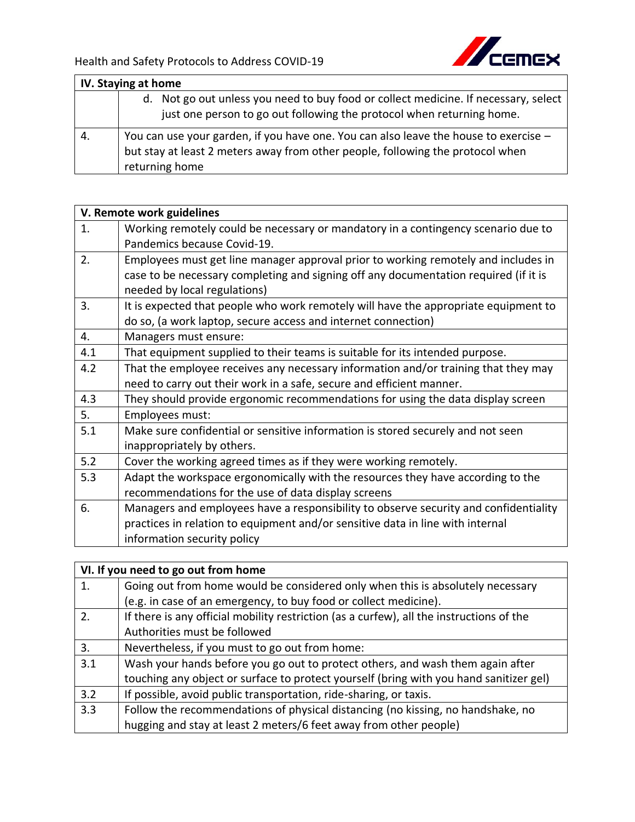

|     | IV. Staying at home                                                                                                                                                                      |  |
|-----|------------------------------------------------------------------------------------------------------------------------------------------------------------------------------------------|--|
|     | d. Not go out unless you need to buy food or collect medicine. If necessary, select<br>just one person to go out following the protocol when returning home.                             |  |
| -4. | You can use your garden, if you have one. You can also leave the house to exercise -<br>but stay at least 2 meters away from other people, following the protocol when<br>returning home |  |

|     | V. Remote work guidelines                                                            |  |
|-----|--------------------------------------------------------------------------------------|--|
| 1.  | Working remotely could be necessary or mandatory in a contingency scenario due to    |  |
|     | Pandemics because Covid-19.                                                          |  |
| 2.  | Employees must get line manager approval prior to working remotely and includes in   |  |
|     | case to be necessary completing and signing off any documentation required (if it is |  |
|     | needed by local regulations)                                                         |  |
| 3.  | It is expected that people who work remotely will have the appropriate equipment to  |  |
|     | do so, (a work laptop, secure access and internet connection)                        |  |
| 4.  | Managers must ensure:                                                                |  |
| 4.1 | That equipment supplied to their teams is suitable for its intended purpose.         |  |
| 4.2 | That the employee receives any necessary information and/or training that they may   |  |
|     | need to carry out their work in a safe, secure and efficient manner.                 |  |
| 4.3 | They should provide ergonomic recommendations for using the data display screen      |  |
| 5.  | Employees must:                                                                      |  |
| 5.1 | Make sure confidential or sensitive information is stored securely and not seen      |  |
|     | inappropriately by others.                                                           |  |
| 5.2 | Cover the working agreed times as if they were working remotely.                     |  |
| 5.3 | Adapt the workspace ergonomically with the resources they have according to the      |  |
|     | recommendations for the use of data display screens                                  |  |
| 6.  | Managers and employees have a responsibility to observe security and confidentiality |  |
|     | practices in relation to equipment and/or sensitive data in line with internal       |  |
|     | information security policy                                                          |  |

|                  | VI. If you need to go out from home                                                      |  |
|------------------|------------------------------------------------------------------------------------------|--|
| 1.               | Going out from home would be considered only when this is absolutely necessary           |  |
|                  | (e.g. in case of an emergency, to buy food or collect medicine).                         |  |
| 2.               | If there is any official mobility restriction (as a curfew), all the instructions of the |  |
|                  | Authorities must be followed                                                             |  |
| $\overline{3}$ . | Nevertheless, if you must to go out from home:                                           |  |
| 3.1              | Wash your hands before you go out to protect others, and wash them again after           |  |
|                  | touching any object or surface to protect yourself (bring with you hand sanitizer gel)   |  |
| 3.2              | If possible, avoid public transportation, ride-sharing, or taxis.                        |  |
| 3.3              | Follow the recommendations of physical distancing (no kissing, no handshake, no          |  |
|                  | hugging and stay at least 2 meters/6 feet away from other people)                        |  |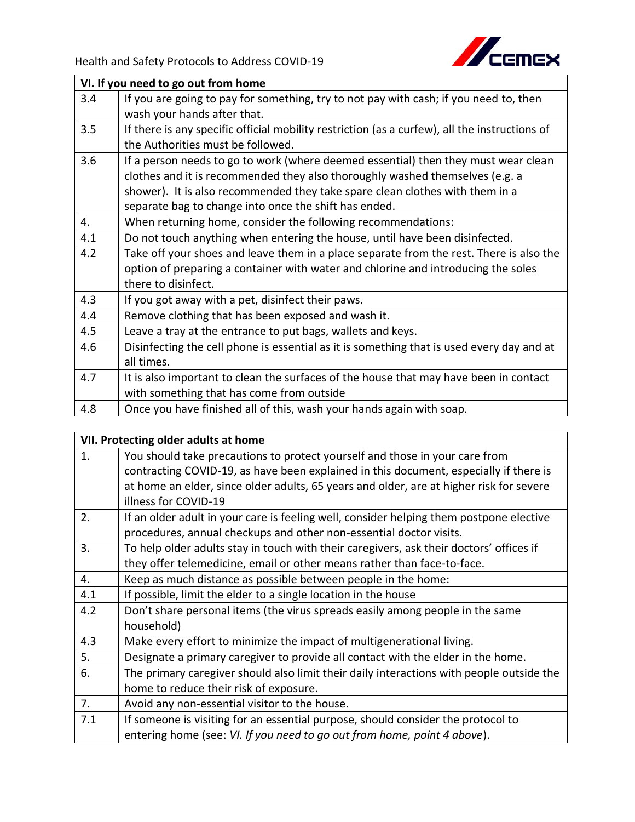

1

|     | VI. If you need to go out from home                                                           |  |
|-----|-----------------------------------------------------------------------------------------------|--|
| 3.4 | If you are going to pay for something, try to not pay with cash; if you need to, then         |  |
|     | wash your hands after that.                                                                   |  |
| 3.5 | If there is any specific official mobility restriction (as a curfew), all the instructions of |  |
|     | the Authorities must be followed.                                                             |  |
| 3.6 | If a person needs to go to work (where deemed essential) then they must wear clean            |  |
|     | clothes and it is recommended they also thoroughly washed themselves (e.g. a                  |  |
|     | shower). It is also recommended they take spare clean clothes with them in a                  |  |
|     | separate bag to change into once the shift has ended.                                         |  |
| 4.  | When returning home, consider the following recommendations:                                  |  |
| 4.1 | Do not touch anything when entering the house, until have been disinfected.                   |  |
| 4.2 | Take off your shoes and leave them in a place separate from the rest. There is also the       |  |
|     | option of preparing a container with water and chlorine and introducing the soles             |  |
|     | there to disinfect.                                                                           |  |
| 4.3 | If you got away with a pet, disinfect their paws.                                             |  |
| 4.4 | Remove clothing that has been exposed and wash it.                                            |  |
| 4.5 | Leave a tray at the entrance to put bags, wallets and keys.                                   |  |
| 4.6 | Disinfecting the cell phone is essential as it is something that is used every day and at     |  |
|     | all times.                                                                                    |  |
| 4.7 | It is also important to clean the surfaces of the house that may have been in contact         |  |
|     | with something that has come from outside                                                     |  |
| 4.8 | Once you have finished all of this, wash your hands again with soap.                          |  |

## **VII. Protecting older adults at home**

| You should take precautions to protect yourself and those in your care from              |
|------------------------------------------------------------------------------------------|
| contracting COVID-19, as have been explained in this document, especially if there is    |
| at home an elder, since older adults, 65 years and older, are at higher risk for severe  |
| illness for COVID-19                                                                     |
| If an older adult in your care is feeling well, consider helping them postpone elective  |
| procedures, annual checkups and other non-essential doctor visits.                       |
| To help older adults stay in touch with their caregivers, ask their doctors' offices if  |
| they offer telemedicine, email or other means rather than face-to-face.                  |
| Keep as much distance as possible between people in the home:                            |
| If possible, limit the elder to a single location in the house                           |
| Don't share personal items (the virus spreads easily among people in the same            |
| household)                                                                               |
| Make every effort to minimize the impact of multigenerational living.                    |
| Designate a primary caregiver to provide all contact with the elder in the home.         |
| The primary caregiver should also limit their daily interactions with people outside the |
| home to reduce their risk of exposure.                                                   |
| Avoid any non-essential visitor to the house.                                            |
| If someone is visiting for an essential purpose, should consider the protocol to         |
| entering home (see: VI. If you need to go out from home, point 4 above).                 |
|                                                                                          |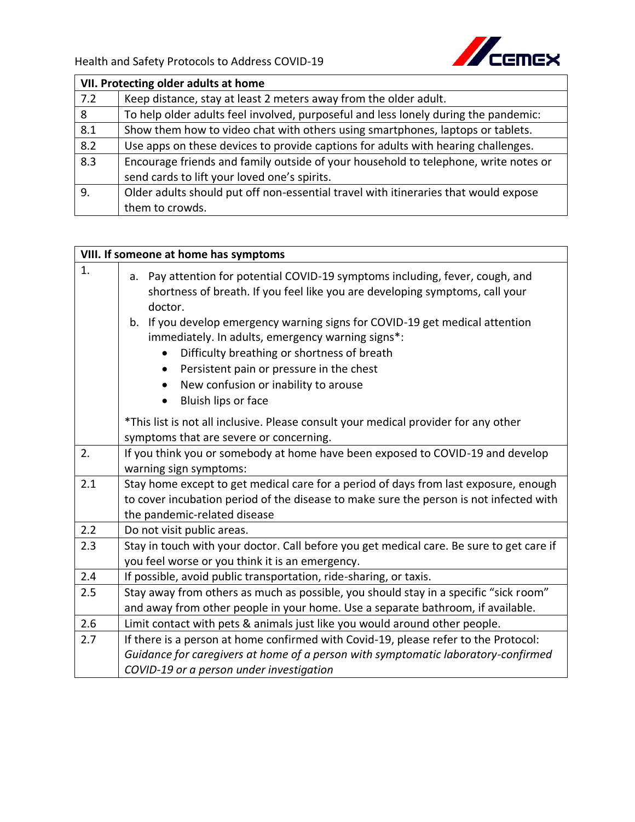Health and Safety Protocols to Address COVID-19



| VII. Protecting older adults at home |                                                                                     |  |
|--------------------------------------|-------------------------------------------------------------------------------------|--|
| 7.2                                  | Keep distance, stay at least 2 meters away from the older adult.                    |  |
| 8                                    | To help older adults feel involved, purposeful and less lonely during the pandemic: |  |
| 8.1                                  | Show them how to video chat with others using smartphones, laptops or tablets.      |  |
| 8.2                                  | Use apps on these devices to provide captions for adults with hearing challenges.   |  |
| 8.3                                  | Encourage friends and family outside of your household to telephone, write notes or |  |
|                                      | send cards to lift your loved one's spirits.                                        |  |
| 9.                                   | Older adults should put off non-essential travel with itineraries that would expose |  |
|                                      | them to crowds.                                                                     |  |

|     | VIII. If someone at home has symptoms                                                                                                                                                                                                                                                                                                                                                                                                                                                                             |
|-----|-------------------------------------------------------------------------------------------------------------------------------------------------------------------------------------------------------------------------------------------------------------------------------------------------------------------------------------------------------------------------------------------------------------------------------------------------------------------------------------------------------------------|
| 1.  | Pay attention for potential COVID-19 symptoms including, fever, cough, and<br>a.<br>shortness of breath. If you feel like you are developing symptoms, call your<br>doctor.<br>b. If you develop emergency warning signs for COVID-19 get medical attention<br>immediately. In adults, emergency warning signs*:<br>Difficulty breathing or shortness of breath<br>Persistent pain or pressure in the chest<br>$\bullet$<br>New confusion or inability to arouse<br>$\bullet$<br>Bluish lips or face<br>$\bullet$ |
|     | *This list is not all inclusive. Please consult your medical provider for any other                                                                                                                                                                                                                                                                                                                                                                                                                               |
|     | symptoms that are severe or concerning.                                                                                                                                                                                                                                                                                                                                                                                                                                                                           |
| 2.  | If you think you or somebody at home have been exposed to COVID-19 and develop                                                                                                                                                                                                                                                                                                                                                                                                                                    |
|     | warning sign symptoms:                                                                                                                                                                                                                                                                                                                                                                                                                                                                                            |
| 2.1 | Stay home except to get medical care for a period of days from last exposure, enough                                                                                                                                                                                                                                                                                                                                                                                                                              |
|     | to cover incubation period of the disease to make sure the person is not infected with<br>the pandemic-related disease                                                                                                                                                                                                                                                                                                                                                                                            |
| 2.2 | Do not visit public areas.                                                                                                                                                                                                                                                                                                                                                                                                                                                                                        |
| 2.3 | Stay in touch with your doctor. Call before you get medical care. Be sure to get care if                                                                                                                                                                                                                                                                                                                                                                                                                          |
|     | you feel worse or you think it is an emergency.                                                                                                                                                                                                                                                                                                                                                                                                                                                                   |
| 2.4 | If possible, avoid public transportation, ride-sharing, or taxis.                                                                                                                                                                                                                                                                                                                                                                                                                                                 |
| 2.5 | Stay away from others as much as possible, you should stay in a specific "sick room"<br>and away from other people in your home. Use a separate bathroom, if available.                                                                                                                                                                                                                                                                                                                                           |
| 2.6 | Limit contact with pets & animals just like you would around other people.                                                                                                                                                                                                                                                                                                                                                                                                                                        |
| 2.7 | If there is a person at home confirmed with Covid-19, please refer to the Protocol:                                                                                                                                                                                                                                                                                                                                                                                                                               |
|     | Guidance for caregivers at home of a person with symptomatic laboratory-confirmed                                                                                                                                                                                                                                                                                                                                                                                                                                 |
|     | COVID-19 or a person under investigation                                                                                                                                                                                                                                                                                                                                                                                                                                                                          |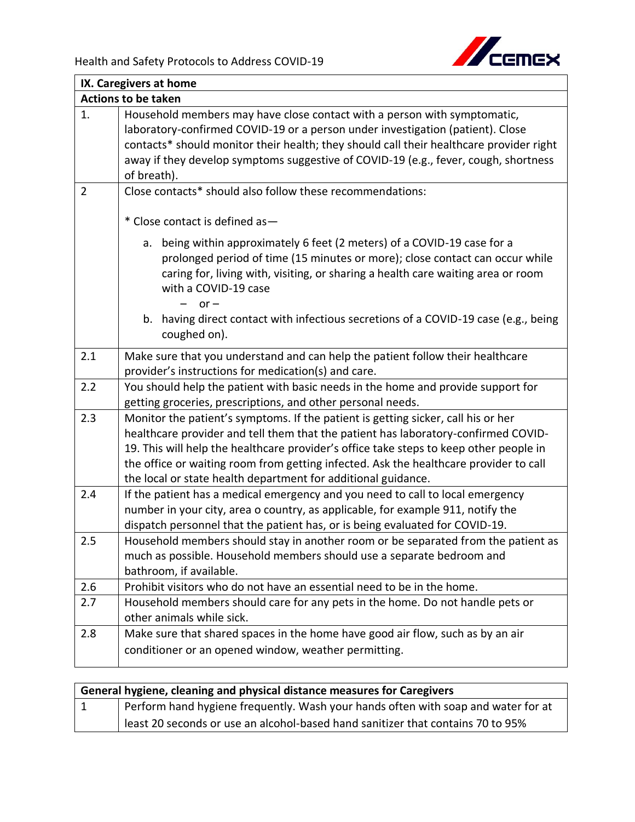

|                            | IX. Caregivers at home                                                                                                                                                                                                                                                                                                                                                                                                      |  |  |
|----------------------------|-----------------------------------------------------------------------------------------------------------------------------------------------------------------------------------------------------------------------------------------------------------------------------------------------------------------------------------------------------------------------------------------------------------------------------|--|--|
| <b>Actions to be taken</b> |                                                                                                                                                                                                                                                                                                                                                                                                                             |  |  |
| 1.                         | Household members may have close contact with a person with symptomatic,<br>laboratory-confirmed COVID-19 or a person under investigation (patient). Close<br>contacts* should monitor their health; they should call their healthcare provider right<br>away if they develop symptoms suggestive of COVID-19 (e.g., fever, cough, shortness<br>of breath).                                                                 |  |  |
| $\overline{2}$             | Close contacts* should also follow these recommendations:                                                                                                                                                                                                                                                                                                                                                                   |  |  |
|                            | * Close contact is defined as-<br>being within approximately 6 feet (2 meters) of a COVID-19 case for a<br>a.<br>prolonged period of time (15 minutes or more); close contact can occur while<br>caring for, living with, visiting, or sharing a health care waiting area or room<br>with a COVID-19 case<br>$or -$<br>b. having direct contact with infectious secretions of a COVID-19 case (e.g., being                  |  |  |
|                            | coughed on).                                                                                                                                                                                                                                                                                                                                                                                                                |  |  |
| 2.1                        | Make sure that you understand and can help the patient follow their healthcare<br>provider's instructions for medication(s) and care.                                                                                                                                                                                                                                                                                       |  |  |
| 2.2                        | You should help the patient with basic needs in the home and provide support for<br>getting groceries, prescriptions, and other personal needs.                                                                                                                                                                                                                                                                             |  |  |
| 2.3                        | Monitor the patient's symptoms. If the patient is getting sicker, call his or her<br>healthcare provider and tell them that the patient has laboratory-confirmed COVID-<br>19. This will help the healthcare provider's office take steps to keep other people in<br>the office or waiting room from getting infected. Ask the healthcare provider to call<br>the local or state health department for additional guidance. |  |  |
| 2.4                        | If the patient has a medical emergency and you need to call to local emergency<br>number in your city, area o country, as applicable, for example 911, notify the<br>dispatch personnel that the patient has, or is being evaluated for COVID-19.                                                                                                                                                                           |  |  |
| 2.5                        | Household members should stay in another room or be separated from the patient as<br>much as possible. Household members should use a separate bedroom and<br>bathroom, if available.                                                                                                                                                                                                                                       |  |  |
| 2.6                        | Prohibit visitors who do not have an essential need to be in the home.                                                                                                                                                                                                                                                                                                                                                      |  |  |
| 2.7                        | Household members should care for any pets in the home. Do not handle pets or<br>other animals while sick.                                                                                                                                                                                                                                                                                                                  |  |  |
| 2.8                        | Make sure that shared spaces in the home have good air flow, such as by an air<br>conditioner or an opened window, weather permitting.                                                                                                                                                                                                                                                                                      |  |  |

| General hygiene, cleaning and physical distance measures for Caregivers |                                                                                   |  |
|-------------------------------------------------------------------------|-----------------------------------------------------------------------------------|--|
| $\vert 1 \vert$                                                         | Perform hand hygiene frequently. Wash your hands often with soap and water for at |  |
|                                                                         | least 20 seconds or use an alcohol-based hand sanitizer that contains 70 to 95%   |  |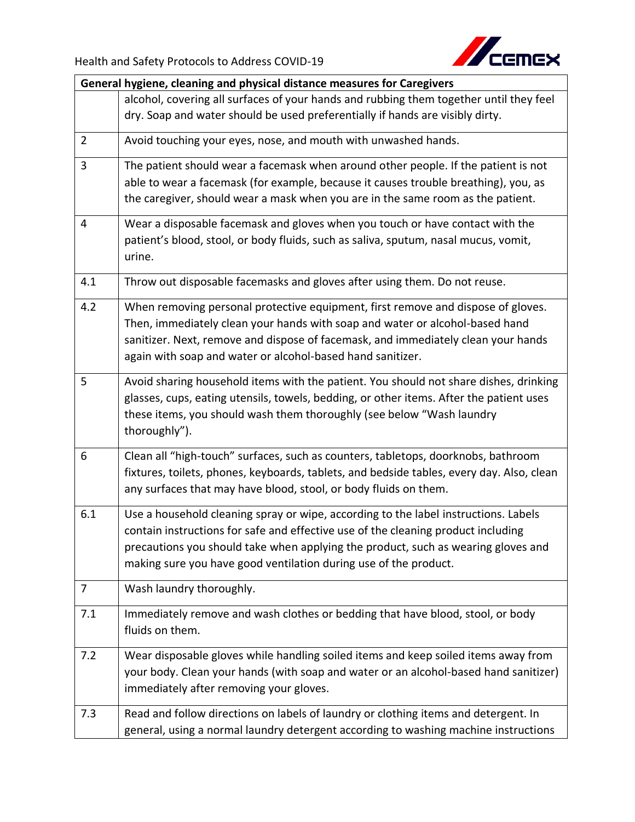

| General hygiene, cleaning and physical distance measures for Caregivers |                                                                                           |  |
|-------------------------------------------------------------------------|-------------------------------------------------------------------------------------------|--|
|                                                                         | alcohol, covering all surfaces of your hands and rubbing them together until they feel    |  |
|                                                                         | dry. Soap and water should be used preferentially if hands are visibly dirty.             |  |
| $\overline{2}$                                                          | Avoid touching your eyes, nose, and mouth with unwashed hands.                            |  |
| $\overline{3}$                                                          | The patient should wear a facemask when around other people. If the patient is not        |  |
|                                                                         | able to wear a facemask (for example, because it causes trouble breathing), you, as       |  |
|                                                                         | the caregiver, should wear a mask when you are in the same room as the patient.           |  |
| $\overline{4}$                                                          | Wear a disposable facemask and gloves when you touch or have contact with the             |  |
|                                                                         | patient's blood, stool, or body fluids, such as saliva, sputum, nasal mucus, vomit,       |  |
|                                                                         | urine.                                                                                    |  |
| 4.1                                                                     | Throw out disposable facemasks and gloves after using them. Do not reuse.                 |  |
| 4.2                                                                     | When removing personal protective equipment, first remove and dispose of gloves.          |  |
|                                                                         | Then, immediately clean your hands with soap and water or alcohol-based hand              |  |
|                                                                         | sanitizer. Next, remove and dispose of facemask, and immediately clean your hands         |  |
|                                                                         | again with soap and water or alcohol-based hand sanitizer.                                |  |
| 5                                                                       | Avoid sharing household items with the patient. You should not share dishes, drinking     |  |
|                                                                         | glasses, cups, eating utensils, towels, bedding, or other items. After the patient uses   |  |
|                                                                         | these items, you should wash them thoroughly (see below "Wash laundry                     |  |
|                                                                         | thoroughly").                                                                             |  |
| 6                                                                       | Clean all "high-touch" surfaces, such as counters, tabletops, doorknobs, bathroom         |  |
|                                                                         | fixtures, toilets, phones, keyboards, tablets, and bedside tables, every day. Also, clean |  |
|                                                                         | any surfaces that may have blood, stool, or body fluids on them.                          |  |
| 6.1                                                                     | Use a household cleaning spray or wipe, according to the label instructions. Labels       |  |
|                                                                         | contain instructions for safe and effective use of the cleaning product including         |  |
|                                                                         | precautions you should take when applying the product, such as wearing gloves and         |  |
|                                                                         | making sure you have good ventilation during use of the product.                          |  |
| 7                                                                       | Wash laundry thoroughly.                                                                  |  |
| 7.1                                                                     | Immediately remove and wash clothes or bedding that have blood, stool, or body            |  |
|                                                                         | fluids on them.                                                                           |  |
| 7.2                                                                     | Wear disposable gloves while handling soiled items and keep soiled items away from        |  |
|                                                                         | your body. Clean your hands (with soap and water or an alcohol-based hand sanitizer)      |  |
|                                                                         | immediately after removing your gloves.                                                   |  |
| 7.3                                                                     | Read and follow directions on labels of laundry or clothing items and detergent. In       |  |
|                                                                         | general, using a normal laundry detergent according to washing machine instructions       |  |